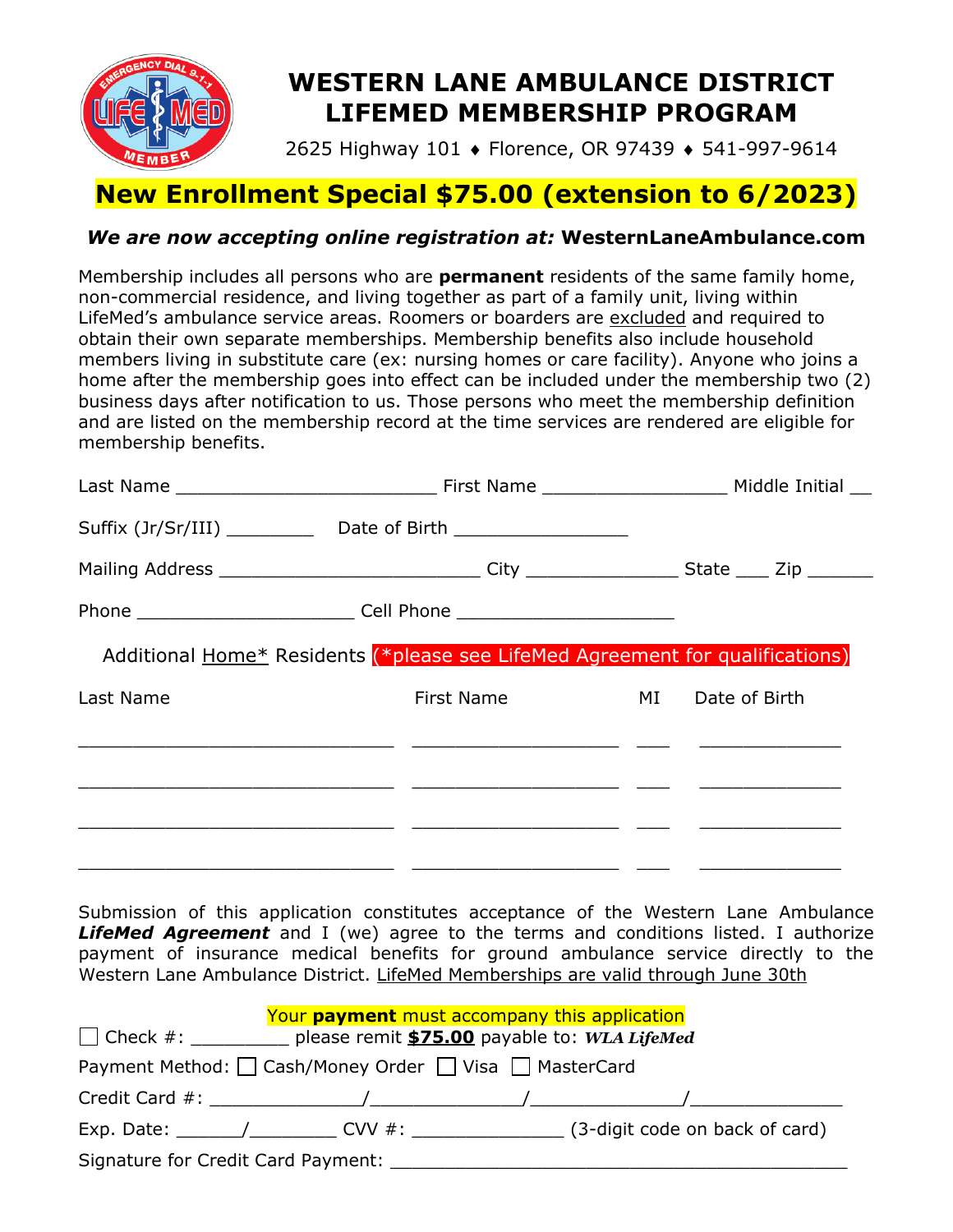

# **WESTERN LANE AMBULANCE DISTRICT LIFEMED MEMBERSHIP PROGRAM**

2625 Highway 101 ♦ Florence, OR 97439 ♦ 541-997-9614

## **New Enrollment Special \$75.00 (extension to 6/2023)**

## *We are now accepting online registration at:* **WesternLaneAmbulance.com**

Membership includes all persons who are **permanent** residents of the same family home, non-commercial residence, and living together as part of a family unit, living within LifeMed's ambulance service areas. Roomers or boarders are excluded and required to obtain their own separate memberships. Membership benefits also include household members living in substitute care (ex: nursing homes or care facility). Anyone who joins a home after the membership goes into effect can be included under the membership two (2) business days after notification to us. Those persons who meet the membership definition and are listed on the membership record at the time services are rendered are eligible for membership benefits.

|           | Suffix (Jr/Sr/III) _________________Date of Birth ______________________________                                       |  |  |  |
|-----------|------------------------------------------------------------------------------------------------------------------------|--|--|--|
|           | Mailing Address _________________________________City ___________________State _____ Zip _________                     |  |  |  |
|           | Phone _________________________________Cell Phone ______________________________                                       |  |  |  |
|           | Additional Home* Residents (*please see LifeMed Agreement for qualifications)                                          |  |  |  |
| Last Name | First Name MI Date of Birth                                                                                            |  |  |  |
|           | <u> 1990 - Jan James James, martin amerikan basar (j. 1908)</u>                                                        |  |  |  |
|           | <u> 1980 - Johann John Stein, mars an der stein andere de forme de la production de la production de la production</u> |  |  |  |
|           |                                                                                                                        |  |  |  |
|           |                                                                                                                        |  |  |  |

Submission of this application constitutes acceptance of the Western Lane Ambulance *LifeMed Agreement* and I (we) agree to the terms and conditions listed. I authorize payment of insurance medical benefits for ground ambulance service directly to the Western Lane Ambulance District. LifeMed Memberships are valid through June 30th

| Your payment must accompany this application           |                                                                             |  |  |                                |  |  |  |  |
|--------------------------------------------------------|-----------------------------------------------------------------------------|--|--|--------------------------------|--|--|--|--|
|                                                        | $\Box$ Check #: ___________<br>please remit \$75.00 payable to: WLA LifeMed |  |  |                                |  |  |  |  |
| Payment Method: □ Cash/Money Order □ Visa □ MasterCard |                                                                             |  |  |                                |  |  |  |  |
|                                                        |                                                                             |  |  |                                |  |  |  |  |
|                                                        |                                                                             |  |  | (3-digit code on back of card) |  |  |  |  |
| Signature for Credit Card Payment:                     |                                                                             |  |  |                                |  |  |  |  |